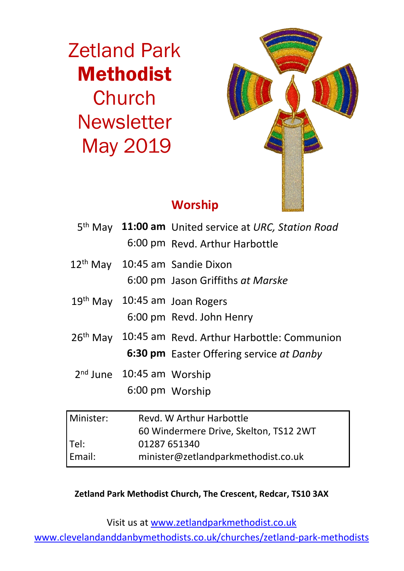Zetland Park Methodist Church **Newsletter** May 2019



# **Worship**

|           |                                                                    | 5 <sup>th</sup> May 11:00 am United service at URC, Station Road<br>6:00 pm Revd. Arthur Harbottle          |  |
|-----------|--------------------------------------------------------------------|-------------------------------------------------------------------------------------------------------------|--|
|           |                                                                    | 12 <sup>th</sup> May 10:45 am Sandie Dixon<br>6:00 pm Jason Griffiths at Marske                             |  |
|           |                                                                    | 19 <sup>th</sup> May 10:45 am Joan Rogers<br>6:00 pm Revd. John Henry                                       |  |
|           |                                                                    | 26 <sup>th</sup> May 10:45 am Revd. Arthur Harbottle: Communion<br>6:30 pm Easter Offering service at Danby |  |
|           | 2 <sup>nd</sup> June 10:45 am Worship                              | 6:00 pm Worship                                                                                             |  |
| Minister: | Revd. W Arthur Harbottle<br>60 Windermere Drive, Skelton, TS12 2WT |                                                                                                             |  |
| — II      | 04007 CE4040                                                       |                                                                                                             |  |

Tel: 01287 651340 Email: minister@zetlandparkmethodist.co.uk

**Zetland Park Methodist Church, The Crescent, Redcar, TS10 3AX**

Visit us at www.zetlandparkmethodist.co.uk

www.clevelandanddanbymethodists.co.uk/churches/zetland-park-methodists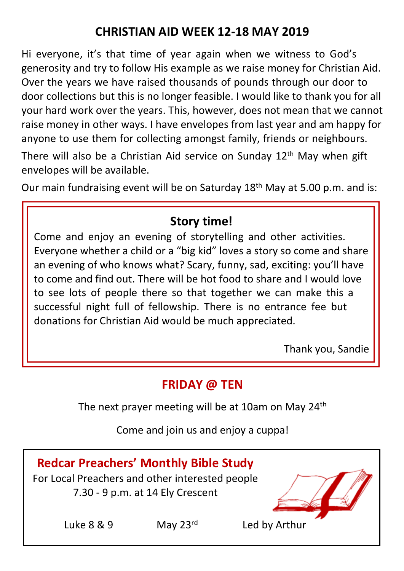# **CHRISTIAN AID WEEK 12-18 MAY 2019**

Hi everyone, it's that time of year again when we witness to God's generosity and try to follow His example as we raise money for Christian Aid. Over the years we have raised thousands of pounds through our door to door collections but this is no longer feasible. I would like to thank you for all your hard work over the years. This, however, does not mean that we cannot raise money in other ways. I have envelopes from last year and am happy for anyone to use them for collecting amongst family, friends or neighbours.

There will also be a Christian Aid service on Sunday  $12<sup>th</sup>$  May when gift envelopes will be available.

Our main fundraising event will be on Saturday  $18<sup>th</sup>$  May at 5.00 p.m. and is:

# **Story time!**

Come and enjoy an evening of storytelling and other activities. Everyone whether a child or a "big kid" loves a story so come and share an evening of who knows what? Scary, funny, sad, exciting: you'll have to come and find out. There will be hot food to share and I would love to see lots of people there so that together we can make this a successful night full of fellowship. There is no entrance fee but donations for Christian Aid would be much appreciated.

Thank you, Sandie

## **FRIDAY @ TEN**

The next prayer meeting will be at 10am on May 24<sup>th</sup>

Come and join us and enjoy a cuppa!

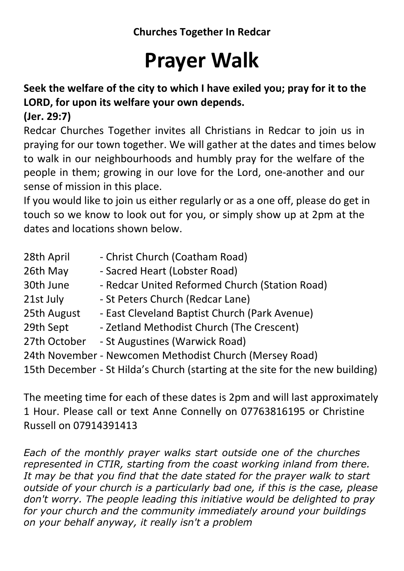# **Prayer Walk**

### **Seek the welfare of the city to which I have exiled you; pray for it to the LORD, for upon its welfare your own depends.**

### **(Jer. 29:7)**

Redcar Churches Together invites all Christians in Redcar to join us in praying for our town together. We will gather at the dates and times below to walk in our neighbourhoods and humbly pray for the welfare of the people in them; growing in our love for the Lord, one-another and our sense of mission in this place.

If you would like to join us either regularly or as a one off, please do get in touch so we know to look out for you, or simply show up at 2pm at the dates and locations shown below.

| 28th April   | - Christ Church (Coatham Road)                                                |
|--------------|-------------------------------------------------------------------------------|
| 26th May     | - Sacred Heart (Lobster Road)                                                 |
| 30th June    | - Redcar United Reformed Church (Station Road)                                |
| 21st July    | - St Peters Church (Redcar Lane)                                              |
| 25th August  | - East Cleveland Baptist Church (Park Avenue)                                 |
| 29th Sept    | - Zetland Methodist Church (The Crescent)                                     |
| 27th October | - St Augustines (Warwick Road)                                                |
|              | 24th November - Newcomen Methodist Church (Mersey Road)                       |
|              | 15th December - St Hilda's Church (starting at the site for the new building) |
|              |                                                                               |

The meeting time for each of these dates is 2pm and will last approximately 1 Hour. Please call or text Anne Connelly on 07763816195 or Christine Russell on 07914391413

*Each of the monthly prayer walks start outside one of the churches represented in CTIR, starting from the coast working inland from there. It may be that you find that the date stated for the prayer walk to start outside of your church is a particularly bad one, if this is the case, please don't worry. The people leading this initiative would be delighted to pray for your church and the community immediately around your buildings on your behalf anyway, it really isn't a problem*